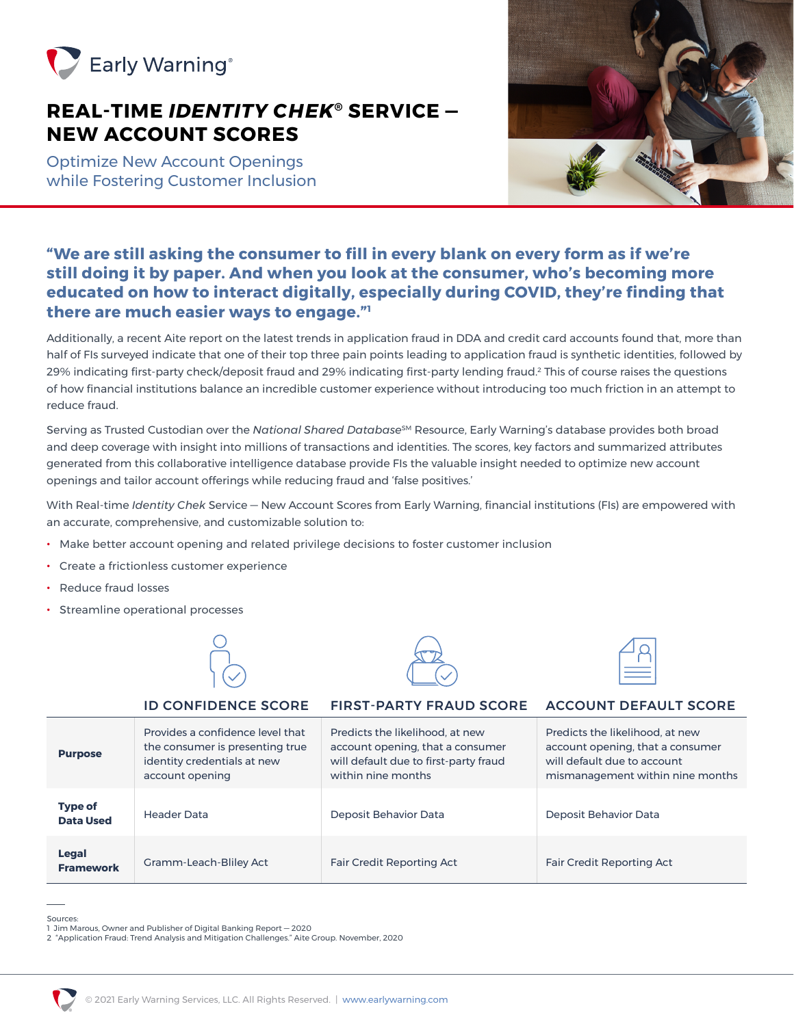

# **REAL-TIME** *IDENTITY CHEK***® SERVICE — NEW ACCOUNT SCORES**

Optimize New Account Openings while Fostering Customer Inclusion



# **"We are still asking the consumer to fill in every blank on every form as if we're still doing it by paper. And when you look at the consumer, who's becoming more educated on how to interact digitally, especially during COVID, they're finding that there are much easier ways to engage."1**

Additionally, a recent Aite report on the latest trends in application fraud in DDA and credit card accounts found that, more than half of FIs surveyed indicate that one of their top three pain points leading to application fraud is synthetic identities, followed by 29% indicating first-party check/deposit fraud and 29% indicating first-party lending fraud.2 This of course raises the questions of how financial institutions balance an incredible customer experience without introducing too much friction in an attempt to reduce fraud.

Serving as Trusted Custodian over the *National Shared Database<sup>sM</sup>* Resource, Early Warning's database provides both broad and deep coverage with insight into millions of transactions and identities. The scores, key factors and summarized attributes generated from this collaborative intelligence database provide FIs the valuable insight needed to optimize new account openings and tailor account offerings while reducing fraud and 'false positives.'

With Real-time *Identity Chek* Service — New Account Scores from Early Warning, financial institutions (FIs) are empowered with an accurate, comprehensive, and customizable solution to:

- Make better account opening and related privilege decisions to foster customer inclusion
- Create a frictionless customer experience
- Reduce fraud losses
- Streamline operational processes







|                                    | <b>ID CONFIDENCE SCORE</b>                                                                                            | <b>FIRST-PARTY FRAUD SCORE</b>                                                                                                     | <b>ACCOUNT DEFAULT SCORE</b>                                                                                                           |
|------------------------------------|-----------------------------------------------------------------------------------------------------------------------|------------------------------------------------------------------------------------------------------------------------------------|----------------------------------------------------------------------------------------------------------------------------------------|
| <b>Purpose</b>                     | Provides a confidence level that<br>the consumer is presenting true<br>identity credentials at new<br>account opening | Predicts the likelihood, at new<br>account opening, that a consumer<br>will default due to first-party fraud<br>within nine months | Predicts the likelihood, at new<br>account opening, that a consumer<br>will default due to account<br>mismanagement within nine months |
| <b>Type of</b><br><b>Data Used</b> | Header Data                                                                                                           | Deposit Behavior Data                                                                                                              | Deposit Behavior Data                                                                                                                  |
| <b>Legal</b><br><b>Framework</b>   | Gramm-Leach-Bliley Act                                                                                                | <b>Fair Credit Reporting Act</b>                                                                                                   | <b>Fair Credit Reporting Act</b>                                                                                                       |

Sources:

<sup>2 &</sup>quot;Application Fraud: Trend Analysis and Mitigation Challenges." Aite Group. November, 2020



<sup>1</sup> Jim Marous, Owner and Publisher of Digital Banking Report — 2020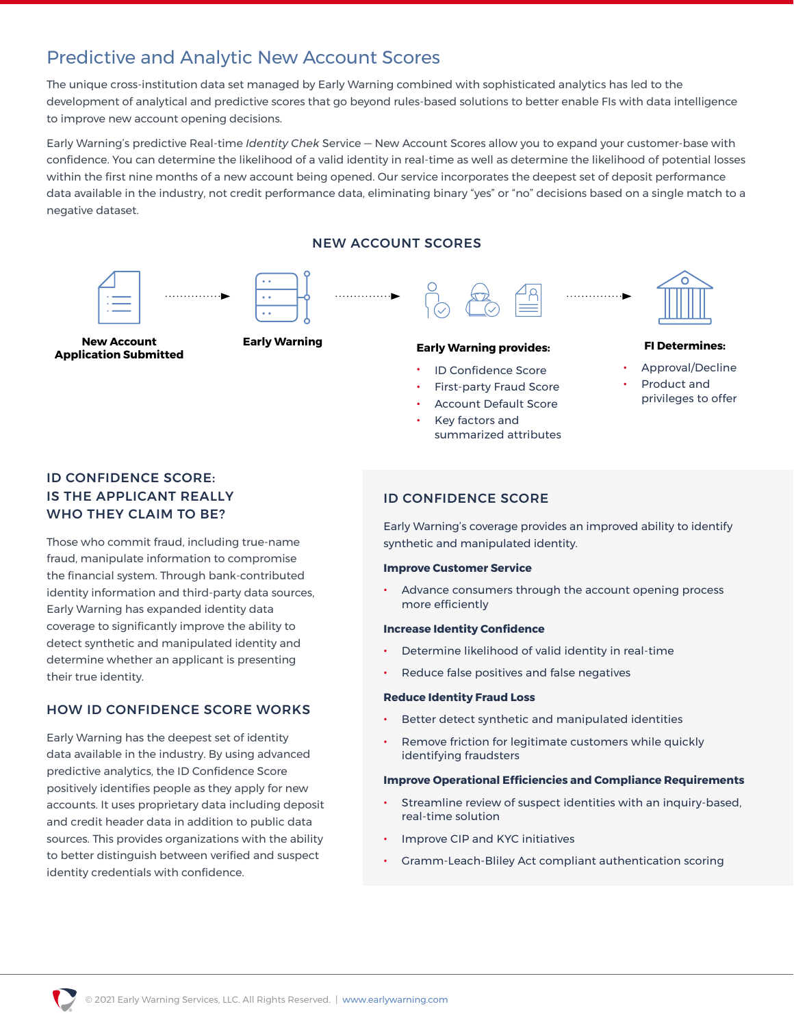# Predictive and Analytic New Account Scores

The unique cross-institution data set managed by Early Warning combined with sophisticated analytics has led to the development of analytical and predictive scores that go beyond rules-based solutions to better enable FIs with data intelligence to improve new account opening decisions.

Early Warning's predictive Real-time *Identity Chek* Service — New Account Scores allow you to expand your customer-base with confidence. You can determine the likelihood of a valid identity in real-time as well as determine the likelihood of potential losses within the first nine months of a new account being opened. Our service incorporates the deepest set of deposit performance data available in the industry, not credit performance data, eliminating binary "yes" or "no" decisions based on a single match to a negative dataset.

NEW ACCOUNT SCORES



**New Account Application Submitted**

# **Early Warning Early Warning provides:**

- ID Confidence Score
- First-party Fraud Score
- Account Default Score
- Key factors and summarized attributes

### **FI Determines:**

- Approval/Decline
- Product and privileges to offer

# ID CONFIDENCE SCORE: IS THE APPLICANT REALLY WHO THEY CLAIM TO BE?

Those who commit fraud, including true-name fraud, manipulate information to compromise the financial system. Through bank-contributed identity information and third-party data sources, Early Warning has expanded identity data coverage to significantly improve the ability to detect synthetic and manipulated identity and determine whether an applicant is presenting their true identity.

## HOW ID CONFIDENCE SCORE WORKS

Early Warning has the deepest set of identity data available in the industry. By using advanced predictive analytics, the ID Confidence Score positively identifies people as they apply for new accounts. It uses proprietary data including deposit and credit header data in addition to public data sources. This provides organizations with the ability to better distinguish between verified and suspect identity credentials with confidence.

## ID CONFIDENCE SCORE

Early Warning's coverage provides an improved ability to identify synthetic and manipulated identity.

### **Improve Customer Service**

Advance consumers through the account opening process more efficiently

### **Increase Identity Confidence**

- Determine likelihood of valid identity in real-time
- Reduce false positives and false negatives

#### **Reduce Identity Fraud Loss**

- Better detect synthetic and manipulated identities
- Remove friction for legitimate customers while quickly identifying fraudsters

### **Improve Operational Efficiencies and Compliance Requirements**

- Streamline review of suspect identities with an inquiry-based, real-time solution
- Improve CIP and KYC initiatives
- Gramm-Leach-Bliley Act compliant authentication scoring